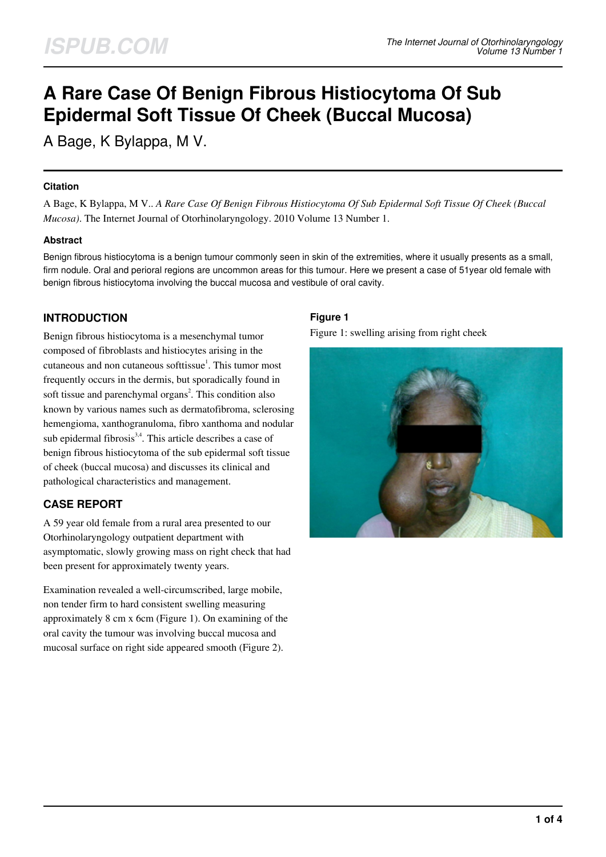# **A Rare Case Of Benign Fibrous Histiocytoma Of Sub Epidermal Soft Tissue Of Cheek (Buccal Mucosa)**

A Bage, K Bylappa, M V.

## **Citation**

A Bage, K Bylappa, M V.. *A Rare Case Of Benign Fibrous Histiocytoma Of Sub Epidermal Soft Tissue Of Cheek (Buccal Mucosa)*. The Internet Journal of Otorhinolaryngology. 2010 Volume 13 Number 1.

# **Abstract**

Benign fibrous histiocytoma is a benign tumour commonly seen in skin of the extremities, where it usually presents as a small, firm nodule. Oral and perioral regions are uncommon areas for this tumour. Here we present a case of 51year old female with benign fibrous histiocytoma involving the buccal mucosa and vestibule of oral cavity.

# **INTRODUCTION**

Benign fibrous histiocytoma is a mesenchymal tumor composed of fibroblasts and histiocytes arising in the cutaneous and non cutaneous softtissue<sup>1</sup>. This tumor most frequently occurs in the dermis, but sporadically found in soft tissue and parenchymal organs<sup>2</sup>. This condition also known by various names such as dermatofibroma, sclerosing hemengioma, xanthogranuloma, fibro xanthoma and nodular sub epidermal fibrosis<sup>3,4</sup>. This article describes a case of benign fibrous histiocytoma of the sub epidermal soft tissue of cheek (buccal mucosa) and discusses its clinical and pathological characteristics and management.

# **CASE REPORT**

A 59 year old female from a rural area presented to our Otorhinolaryngology outpatient department with asymptomatic, slowly growing mass on right check that had been present for approximately twenty years.

Examination revealed a well-circumscribed, large mobile, non tender firm to hard consistent swelling measuring approximately 8 cm x 6cm (Figure 1). On examining of the oral cavity the tumour was involving buccal mucosa and mucosal surface on right side appeared smooth (Figure 2).

# **Figure 1**

Figure 1: swelling arising from right cheek

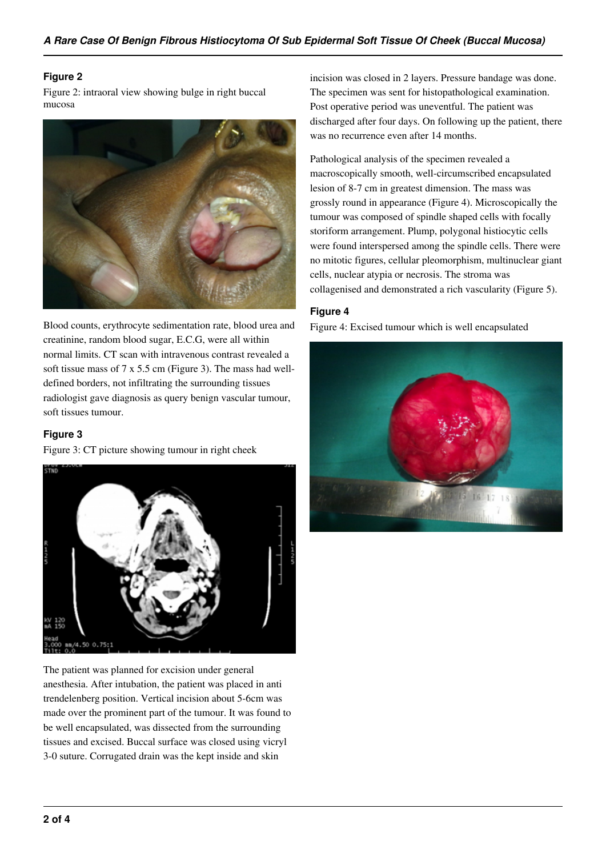### **Figure 2**

Figure 2: intraoral view showing bulge in right buccal mucosa



Blood counts, erythrocyte sedimentation rate, blood urea and creatinine, random blood sugar, E.C.G, were all within normal limits. CT scan with intravenous contrast revealed a soft tissue mass of 7 x 5.5 cm (Figure 3). The mass had welldefined borders, not infiltrating the surrounding tissues radiologist gave diagnosis as query benign vascular tumour, soft tissues tumour.

### **Figure 3**

Figure 3: CT picture showing tumour in right cheek



The patient was planned for excision under general anesthesia. After intubation, the patient was placed in anti trendelenberg position. Vertical incision about 5-6cm was made over the prominent part of the tumour. It was found to be well encapsulated, was dissected from the surrounding tissues and excised. Buccal surface was closed using vicryl 3-0 suture. Corrugated drain was the kept inside and skin

incision was closed in 2 layers. Pressure bandage was done. The specimen was sent for histopathological examination. Post operative period was uneventful. The patient was discharged after four days. On following up the patient, there was no recurrence even after 14 months.

Pathological analysis of the specimen revealed a macroscopically smooth, well-circumscribed encapsulated lesion of 8-7 cm in greatest dimension. The mass was grossly round in appearance (Figure 4). Microscopically the tumour was composed of spindle shaped cells with focally storiform arrangement. Plump, polygonal histiocytic cells were found interspersed among the spindle cells. There were no mitotic figures, cellular pleomorphism, multinuclear giant cells, nuclear atypia or necrosis. The stroma was collagenised and demonstrated a rich vascularity (Figure 5).

## **Figure 4**

Figure 4: Excised tumour which is well encapsulated

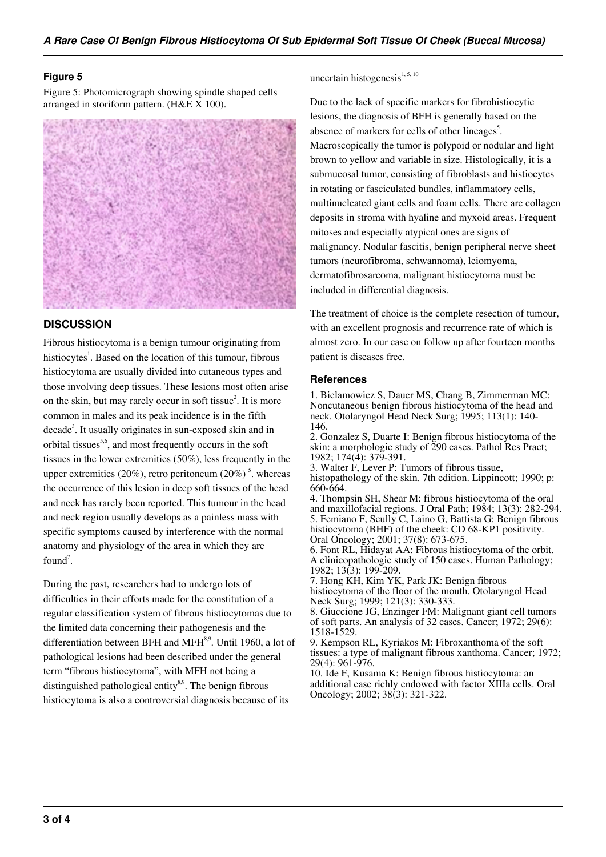#### **Figure 5**

Figure 5: Photomicrograph showing spindle shaped cells arranged in storiform pattern. (H&E X 100).



# **DISCUSSION**

Fibrous histiocytoma is a benign tumour originating from histiocytes<sup>1</sup>. Based on the location of this tumour, fibrous histiocytoma are usually divided into cutaneous types and those involving deep tissues. These lesions most often arise on the skin, but may rarely occur in soft tissue<sup>2</sup>. It is more common in males and its peak incidence is in the fifth decade<sup>3</sup>. It usually originates in sun-exposed skin and in orbital tissues<sup>5,6</sup>, and most frequently occurs in the soft tissues in the lower extremities (50%), less frequently in the upper extremities (20%), retro peritoneum (20%)<sup>5</sup>. whereas the occurrence of this lesion in deep soft tissues of the head and neck has rarely been reported. This tumour in the head and neck region usually develops as a painless mass with specific symptoms caused by interference with the normal anatomy and physiology of the area in which they are found<sup>7</sup>.

During the past, researchers had to undergo lots of difficulties in their efforts made for the constitution of a regular classification system of fibrous histiocytomas due to the limited data concerning their pathogenesis and the differentiation between BFH and MFH $^{8,9}$ . Until 1960, a lot of pathological lesions had been described under the general term "fibrous histiocytoma", with MFH not being a distinguished pathological entity $8.9$ . The benign fibrous histiocytoma is also a controversial diagnosis because of its

uncertain histogenesis $1, 5, 10$ 

Due to the lack of specific markers for fibrohistiocytic lesions, the diagnosis of BFH is generally based on the absence of markers for cells of other lineages<sup>5</sup>. Macroscopically the tumor is polypoid or nodular and light brown to yellow and variable in size. Histologically, it is a submucosal tumor, consisting of fibroblasts and histiocytes in rotating or fasciculated bundles, inflammatory cells, multinucleated giant cells and foam cells. There are collagen deposits in stroma with hyaline and myxoid areas. Frequent mitoses and especially atypical ones are signs of malignancy. Nodular fascitis, benign peripheral nerve sheet tumors (neurofibroma, schwannoma), leiomyoma, dermatofibrosarcoma, malignant histiocytoma must be included in differential diagnosis.

The treatment of choice is the complete resection of tumour, with an excellent prognosis and recurrence rate of which is almost zero. In our case on follow up after fourteen months patient is diseases free.

#### **References**

1. Bielamowicz S, Dauer MS, Chang B, Zimmerman MC: Noncutaneous benign fibrous histiocytoma of the head and neck. Otolaryngol Head Neck Surg; 1995; 113(1): 140- 146.

2. Gonzalez S, Duarte I: Benign fibrous histiocytoma of the skin: a morphologic study of 290 cases. Pathol Res Pract; 1982; 174(4): 379-391.

3. Walter F, Lever P: Tumors of fibrous tissue,

histopathology of the skin. 7th edition. Lippincott; 1990; p: 660-664.

4. Thompsin SH, Shear M: fibrous histiocytoma of the oral and maxillofacial regions. J Oral Path; 1984; 13(3): 282-294. 5. Femiano F, Scully C, Laino G, Battista G: Benign fibrous histiocytoma (BHF) of the cheek: CD 68-KP1 positivity. Oral Oncology; 2001; 37(8): 673-675.

6. Font RL, Hidayat AA: Fibrous histiocytoma of the orbit. A clinicopathologic study of 150 cases. Human Pathology; 1982; 13(3): 199-209.

7. Hong KH, Kim YK, Park JK: Benign fibrous histiocytoma of the floor of the mouth. Otolaryngol Head Neck Surg; 1999; 121(3): 330-333.

8. Giuccione JG, Enzinger FM: Malignant giant cell tumors of soft parts. An analysis of 32 cases. Cancer; 1972; 29(6): 1518-1529.

9. Kempson RL, Kyriakos M: Fibroxanthoma of the soft tissues: a type of malignant fibrous xanthoma. Cancer; 1972; 29(4): 961-976.

10. Ide F, Kusama K: Benign fibrous histiocytoma: an additional case richly endowed with factor XIIIa cells. Oral Oncology; 2002; 38(3): 321-322.